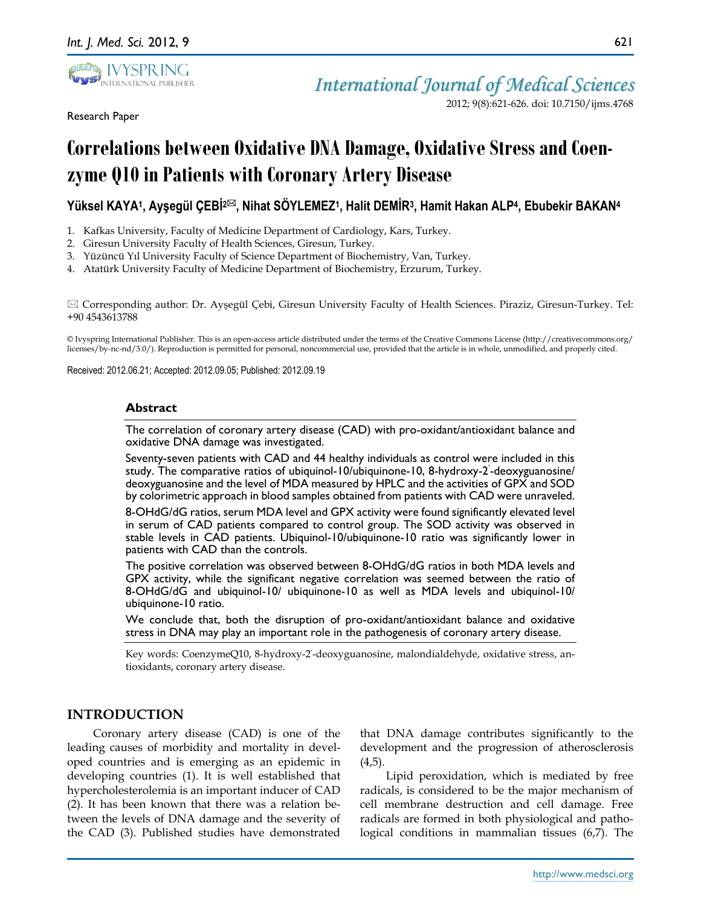

Research Paper

2012; 9(8):621-626. doi: 10.7150/ijms.4768

# **Correlations between Oxidative DNA Damage, Oxidative Stress and Coenzyme Q10 in Patients with Coronary Artery Disease**

## **Yüksel KAYA<sup>1</sup> , Ayşegül ÇEBİ2, Nihat SÖYLEMEZ<sup>1</sup> , Halit DEMİR<sup>3</sup> , Hamit Hakan ALP<sup>4</sup> , Ebubekir BAKAN<sup>4</sup>**

- 1. Kafkas University, Faculty of Medicine Department of Cardiology, Kars, Turkey.
- 2. Giresun University Faculty of Health Sciences, Giresun, Turkey.
- 3. Yüzüncü Yıl University Faculty of Science Department of Biochemistry, Van, Turkey.
- 4. Atatürk University Faculty of Medicine Department of Biochemistry, Erzurum, Turkey.

 Corresponding author: Dr. Ayşegül Çebi, Giresun University Faculty of Health Sciences. Piraziz, Giresun-Turkey. Tel: +90 4543613788

© Ivyspring International Publisher. This is an open-access article distributed under the terms of the Creative Commons License (http://creativecommons.org/ licenses/by-nc-nd/3.0/). Reproduction is permitted for personal, noncommercial use, provided that the article is in whole, unmodified, and properly cited.

Received: 2012.06.21; Accepted: 2012.09.05; Published: 2012.09.19

#### **Abstract**

The correlation of coronary artery disease (CAD) with pro-oxidant/antioxidant balance and oxidative DNA damage was investigated.

Seventy-seven patients with CAD and 44 healthy individuals as control were included in this study. The comparative ratios of ubiquinol-10/ubiquinone-10, 8-hydroxy-2 ' -deoxyguanosine/ deoxyguanosine and the level of MDA measured by HPLC and the activities of GPX and SOD by colorimetric approach in blood samples obtained from patients with CAD were unraveled. 8-OHdG/dG ratios, serum MDA level and GPX activity were found significantly elevated level in serum of CAD patients compared to control group. The SOD activity was observed in stable levels in CAD patients. Ubiquinol-10/ubiquinone-10 ratio was significantly lower in patients with CAD than the controls.

The positive correlation was observed between 8-OHdG/dG ratios in both MDA levels and GPX activity, while the significant negative correlation was seemed between the ratio of 8-OHdG/dG and ubiquinol-10/ ubiquinone-10 as well as MDA levels and ubiquinol-10/ ubiquinone-10 ratio.

We conclude that, both the disruption of pro-oxidant/antioxidant balance and oxidative stress in DNA may play an important role in the pathogenesis of coronary artery disease.

Key words: CoenzymeQ10, 8-hydroxy-2'-deoxyguanosine, malondialdehyde, oxidative stress, antioxidants, coronary artery disease.

## **INTRODUCTION**

Coronary artery disease (CAD) is one of the leading causes of morbidity and mortality in developed countries and is emerging as an epidemic in developing countries (1). It is well established that hypercholesterolemia is an important inducer of CAD (2). It has been known that there was a relation between the levels of DNA damage and the severity of the CAD (3). Published studies have demonstrated

that DNA damage contributes significantly to the development and the progression of atherosclerosis  $(4,5)$ .

Lipid peroxidation, which is mediated by free radicals, is considered to be the major mechanism of cell membrane destruction and cell damage. Free radicals are formed in both physiological and pathological conditions in mammalian tissues (6,7). The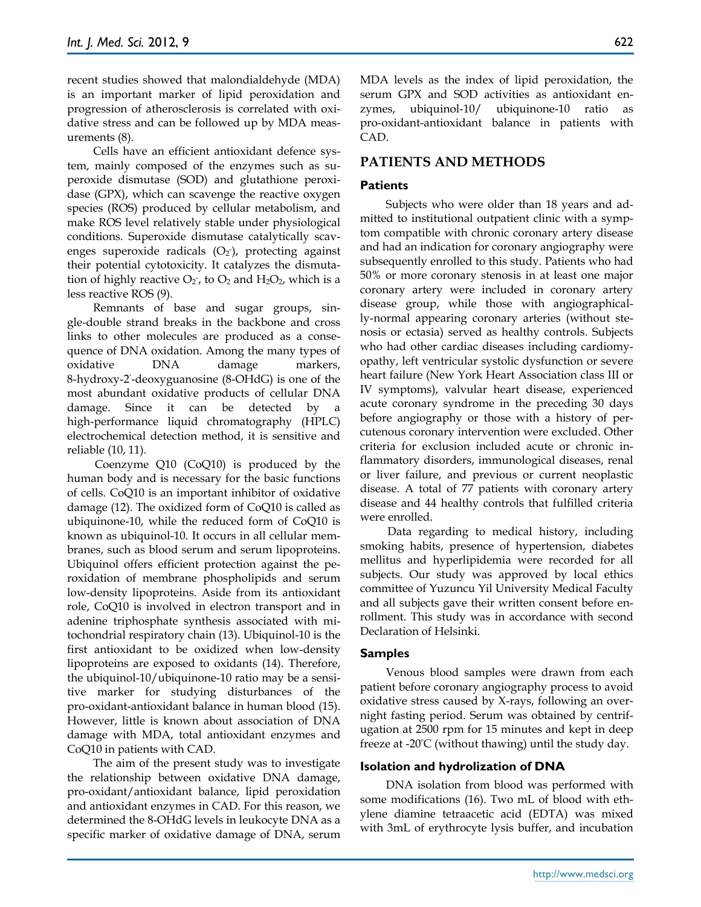recent studies showed that malondialdehyde (MDA) is an important marker of lipid peroxidation and progression of atherosclerosis is correlated with oxidative stress and can be followed up by MDA measurements (8).

Cells have an efficient antioxidant defence system, mainly composed of the enzymes such as superoxide dismutase (SOD) and glutathione peroxidase (GPX), which can scavenge the reactive oxygen species (ROS) produced by cellular metabolism, and make ROS level relatively stable under physiological conditions. Superoxide dismutase catalytically scavenges superoxide radicals  $(O_2)$ , protecting against their potential cytotoxicity. It catalyzes the dismutation of highly reactive  $\mathrm{O}_2$ , to  $\mathrm{O}_2$  and  $\mathrm{H}_2\mathrm{O}_2$ , which is a less reactive ROS (9).

Remnants of base and sugar groups, single-double strand breaks in the backbone and cross links to other molecules are produced as a consequence of DNA oxidation. Among the many types of oxidative DNA damage markers, 8-hydroxy-2 ' -deoxyguanosine (8-OHdG) is one of the most abundant oxidative products of cellular DNA damage. Since it can be detected by a high-performance liquid chromatography (HPLC) electrochemical detection method, it is sensitive and reliable (10, 11).

Coenzyme Q10 (CoQ10) is produced by the human body and is necessary for the basic functions of cells. CoQ10 is an important inhibitor of oxidative damage (12). The oxidized form of CoQ10 is called as ubiquinone-10, while the reduced form of CoQ10 is known as ubiquinol-10. It occurs in all cellular membranes, such as blood serum and serum lipoproteins. Ubiquinol offers efficient protection against the peroxidation of membrane phospholipids and serum low-density lipoproteins. Aside from its antioxidant role, CoQ10 is involved in electron transport and in adenine triphosphate synthesis associated with mitochondrial respiratory chain (13). Ubiquinol-10 is the first antioxidant to be oxidized when low-density lipoproteins are exposed to oxidants (14). Therefore, the ubiquinol-10/ubiquinone-10 ratio may be a sensitive marker for studying disturbances of the pro-oxidant-antioxidant balance in human blood (15). However, little is known about association of DNA damage with MDA, total antioxidant enzymes and CoQ10 in patients with CAD.

The aim of the present study was to investigate the relationship between oxidative DNA damage, pro-oxidant/antioxidant balance, lipid peroxidation and antioxidant enzymes in CAD. For this reason, we determined the 8-OHdG levels in leukocyte DNA as a specific marker of oxidative damage of DNA, serum MDA levels as the index of lipid peroxidation, the serum GPX and SOD activities as antioxidant enzymes, ubiquinol-10/ ubiquinone-10 ratio as pro-oxidant-antioxidant balance in patients with CAD.

#### **PATIENTS AND METHODS**

#### **Patients**

Subjects who were older than 18 years and admitted to institutional outpatient clinic with a symptom compatible with chronic coronary artery disease and had an indication for coronary angiography were subsequently enrolled to this study. Patients who had 50% or more coronary stenosis in at least one major coronary artery were included in coronary artery disease group, while those with angiographically-normal appearing coronary arteries (without stenosis or ectasia) served as healthy controls. Subjects who had other cardiac diseases including cardiomyopathy, left ventricular systolic dysfunction or severe heart failure (New York Heart Association class III or IV symptoms), valvular heart disease, experienced acute coronary syndrome in the preceding 30 days before angiography or those with a history of percutenous coronary intervention were excluded. Other criteria for exclusion included acute or chronic inflammatory disorders, immunological diseases, renal or liver failure, and previous or current neoplastic disease. A total of 77 patients with coronary artery disease and 44 healthy controls that fulfilled criteria were enrolled.

Data regarding to medical history, including smoking habits, presence of hypertension, diabetes mellitus and hyperlipidemia were recorded for all subjects. Our study was approved by local ethics committee of Yuzuncu Yil University Medical Faculty and all subjects gave their written consent before enrollment. This study was in accordance with second Declaration of Helsinki.

#### **Samples**

Venous blood samples were drawn from each patient before coronary angiography process to avoid oxidative stress caused by X-rays, following an overnight fasting period. Serum was obtained by centrifugation at 2500 rpm for 15 minutes and kept in deep freeze at -20ºC (without thawing) until the study day.

#### **Isolation and hydrolization of DNA**

DNA isolation from blood was performed with some modifications (16). Two mL of blood with ethylene diamine tetraacetic acid (EDTA) was mixed with 3mL of erythrocyte lysis buffer, and incubation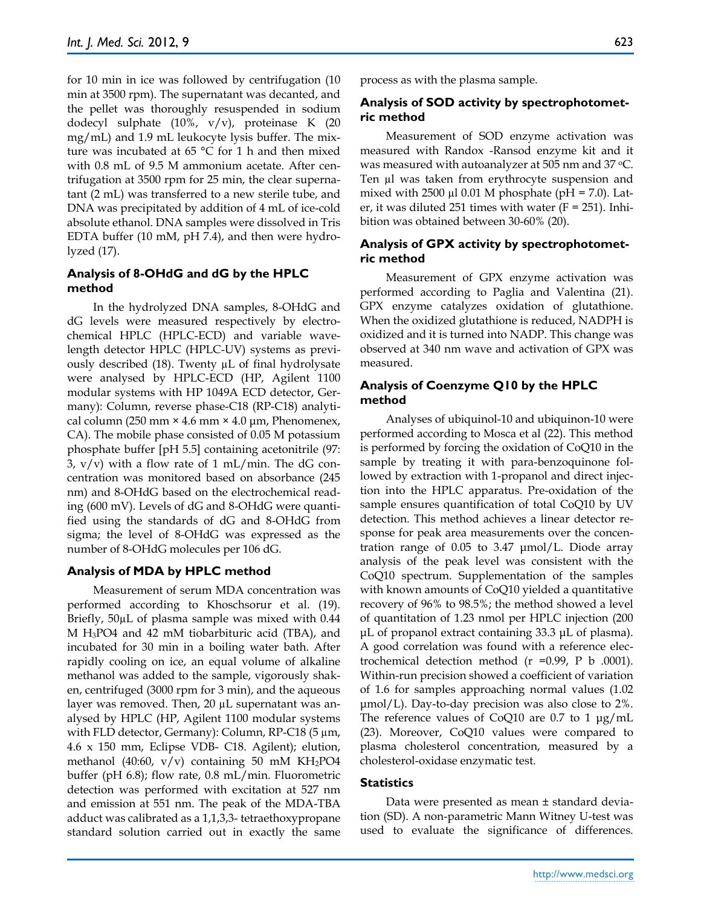for 10 min in ice was followed by centrifugation (10 min at 3500 rpm). The supernatant was decanted, and the pellet was thoroughly resuspended in sodium dodecyl sulphate (10%, v/v), proteinase K (20 mg/mL) and 1.9 mL leukocyte lysis buffer. The mixture was incubated at 65 °C for 1 h and then mixed with 0.8 mL of 9.5 M ammonium acetate. After centrifugation at 3500 rpm for 25 min, the clear supernatant (2 mL) was transferred to a new sterile tube, and DNA was precipitated by addition of 4 mL of ice-cold absolute ethanol. DNA samples were dissolved in Tris EDTA buffer (10 mM, pH 7.4), and then were hydrolyzed (17).

## **Analysis of 8-OHdG and dG by the HPLC method**

In the hydrolyzed DNA samples, 8-OHdG and dG levels were measured respectively by electrochemical HPLC (HPLC-ECD) and variable wavelength detector HPLC (HPLC-UV) systems as previously described  $(18)$ . Twenty  $\mu$ L of final hydrolysate were analysed by HPLC-ECD (HP, Agilent 1100 modular systems with HP 1049A ECD detector, Germany): Column, reverse phase-C18 (RP-C18) analytical column (250 mm  $\times$  4.6 mm  $\times$  4.0 µm, Phenomenex, CA). The mobile phase consisted of 0.05 M potassium phosphate buffer [pH 5.5] containing acetonitrile (97:  $3, v/v$ ) with a flow rate of 1 mL/min. The dG concentration was monitored based on absorbance (245 nm) and 8-OHdG based on the electrochemical reading (600 mV). Levels of dG and 8-OHdG were quantified using the standards of dG and 8-OHdG from sigma; the level of 8-OHdG was expressed as the number of 8-OHdG molecules per 106 dG.

## **Analysis of MDA by HPLC method**

Measurement of serum MDA concentration was performed according to Khoschsorur et al. (19). Briefly, 50µL of plasma sample was mixed with 0.44 M H3PO4 and 42 mM tiobarbituric acid (TBA), and incubated for 30 min in a boiling water bath. After rapidly cooling on ice, an equal volume of alkaline methanol was added to the sample, vigorously shaken, centrifuged (3000 rpm for 3 min), and the aqueous layer was removed. Then, 20 µL supernatant was analysed by HPLC (HP, Agilent 1100 modular systems with FLD detector, Germany): Column, RP-C18  $(5 \mu m,$ 4.6 x 150 mm, Eclipse VDB- C18. Agilent); elution, methanol (40:60,  $v/v$ ) containing 50 mM KH<sub>2</sub>PO4 buffer (pH 6.8); flow rate, 0.8 mL/min. Fluorometric detection was performed with excitation at 527 nm and emission at 551 nm. The peak of the MDA-TBA adduct was calibrated as a 1,1,3,3- tetraethoxypropane standard solution carried out in exactly the same process as with the plasma sample.

## **Analysis of SOD activity by spectrophotometric method**

Measurement of SOD enzyme activation was measured with Randox -Ransod enzyme kit and it was measured with autoanalyzer at 505 nm and 37  $\degree$ C. Ten µl was taken from erythrocyte suspension and mixed with 2500  $\mu$ 1 0.01 M phosphate (pH = 7.0). Later, it was diluted 251 times with water  $(F = 251)$ . Inhibition was obtained between 30-60% (20).

#### **Analysis of GPX activity by spectrophotometric method**

Measurement of GPX enzyme activation was performed according to Paglia and Valentina (21). GPX enzyme catalyzes oxidation of glutathione. When the oxidized glutathione is reduced, NADPH is oxidized and it is turned into NADP. This change was observed at 340 nm wave and activation of GPX was measured.

## **Analysis of Coenzyme Q10 by the HPLC method**

Analyses of ubiquinol-10 and ubiquinon-10 were performed according to Mosca et al (22). This method is performed by forcing the oxidation of CoQ10 in the sample by treating it with para-benzoquinone followed by extraction with 1-propanol and direct injection into the HPLC apparatus. Pre-oxidation of the sample ensures quantification of total CoQ10 by UV detection. This method achieves a linear detector response for peak area measurements over the concentration range of 0.05 to 3.47 μmol/L. Diode array analysis of the peak level was consistent with the CoQ10 spectrum. Supplementation of the samples with known amounts of CoQ10 yielded a quantitative recovery of 96% to 98.5%; the method showed a level of quantitation of 1.23 nmol per HPLC injection (200 μL of propanol extract containing 33.3 μL of plasma). A good correlation was found with a reference electrochemical detection method  $(r = 0.99, P b .0001)$ . Within-run precision showed a coefficient of variation of 1.6 for samples approaching normal values (1.02 μmol/L). Day-to-day precision was also close to 2%. The reference values of  $CoQ10$  are 0.7 to 1  $\mu$ g/mL (23). Moreover, CoQ10 values were compared to plasma cholesterol concentration, measured by a cholesterol-oxidase enzymatic test.

#### **Statistics**

Data were presented as mean ± standard deviation (SD). A non-parametric Mann Witney U-test was used to evaluate the significance of differences.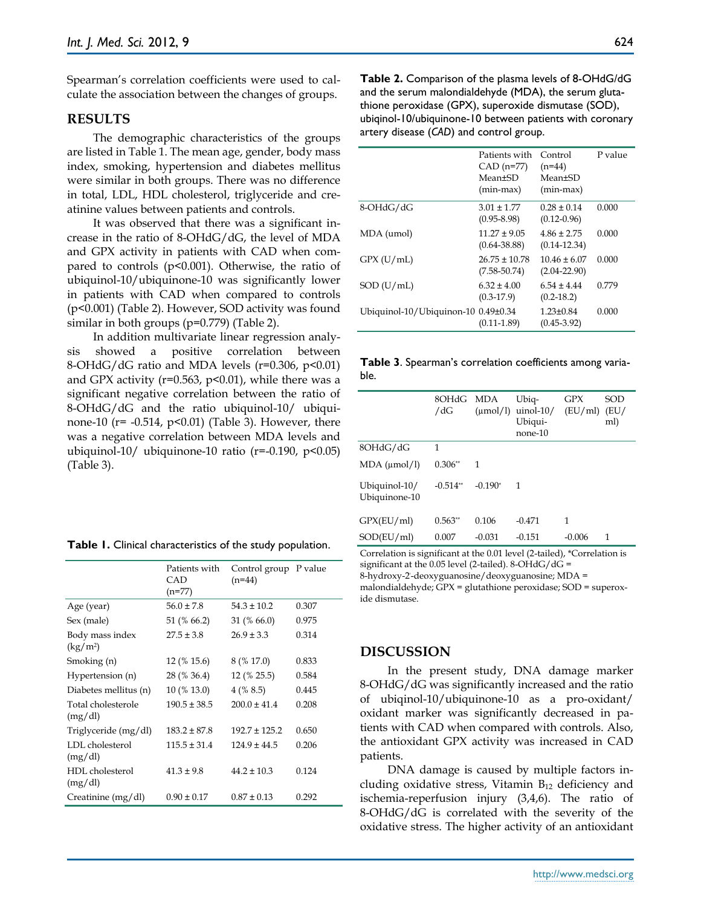Spearman's correlation coefficients were used to calculate the association between the changes of groups.

## **RESULTS**

The demographic characteristics of the groups are listed in Table 1. The mean age, gender, body mass index, smoking, hypertension and diabetes mellitus were similar in both groups. There was no difference in total, LDL, HDL cholesterol, triglyceride and creatinine values between patients and controls.

It was observed that there was a significant increase in the ratio of 8-OHdG/dG, the level of MDA and GPX activity in patients with CAD when compared to controls ( $p$ <0.001). Otherwise, the ratio of ubiquinol-10/ubiquinone-10 was significantly lower in patients with CAD when compared to controls (p<0.001) (Table 2). However, SOD activity was found similar in both groups (p=0.779) (Table 2).

In addition multivariate linear regression analysis showed a positive correlation between 8-OHdG/dG ratio and MDA levels ( $r=0.306$ ,  $p<0.01$ ) and GPX activity ( $r=0.563$ ,  $p<0.01$ ), while there was a significant negative correlation between the ratio of 8-OHdG/dG and the ratio ubiquinol-10/ ubiquinone-10 ( $r = -0.514$ ,  $p < 0.01$ ) (Table 3). However, there was a negative correlation between MDA levels and ubiquinol-10/ ubiquinone-10 ratio ( $r = -0.190$ ,  $p < 0.05$ ) (Table 3).

|  |  | Table 1. Clinical characteristics of the study population. |  |  |
|--|--|------------------------------------------------------------|--|--|
|--|--|------------------------------------------------------------|--|--|

|                               | Patients with<br>CAD<br>(n=77) | Control group P value<br>$(n=44)$ |       |
|-------------------------------|--------------------------------|-----------------------------------|-------|
| Age (year)                    | $56.0 \pm 7.8$                 | $54.3 \pm 10.2$                   | 0.307 |
| Sex (male)                    | 51 (% 66.2)                    | $31\,(% 66.0)$                    | 0.975 |
| Body mass index<br>$(kg/m^2)$ | $27.5 \pm 3.8$                 | $26.9 \pm 3.3$                    | 0.314 |
| Smoking (n)                   | 12 (% 15.6)                    | 8 (% 17.0)                        | 0.833 |
| Hypertension (n)              | 28 (% 36.4)                    | 12 (% 25.5)                       | 0.584 |
| Diabetes mellitus (n)         | 10 (% 13.0)                    | 4(% 8.5)                          | 0.445 |
| Total cholesterole<br>(mg/dl) | $190.5 \pm 38.5$               | $200.0 \pm 41.4$                  | 0.208 |
| Triglyceride (mg/dl)          | $183.2 \pm 87.8$               | $192.7 \pm 125.2$                 | 0.650 |
| LDL cholesterol<br>(mg/dl)    | $115.5 \pm 31.4$               | $124.9 \pm 44.5$                  | 0.206 |
| HDL cholesterol<br>(mg/dl)    | $41.3 \pm 9.8$                 | $44.2 \pm 10.3$                   | 0.124 |
| Creatinine (mg/dl)            | $0.90 \pm 0.17$                | $0.87 \pm 0.13$                   | 0.292 |

**Table 2.** Comparison of the plasma levels of 8-OHdG/dG and the serum malondialdehyde (MDA), the serum glutathione peroxidase (GPX), superoxide dismutase (SOD), ubiqinol-10/ubiquinone-10 between patients with coronary artery disease (*CAD*) and control group.

|                                     | Patients with<br>$CAD$ (n=77)<br>Mean+SD<br>$(min-max)$ | Control<br>$(n=44)$<br>Mean <sup>+SD</sup><br>$(min-max)$ | P value |
|-------------------------------------|---------------------------------------------------------|-----------------------------------------------------------|---------|
| 8-OHdG/dG                           | $3.01 \pm 1.77$<br>$(0.95 - 8.98)$                      | $0.28 \pm 0.14$<br>$(0.12 - 0.96)$                        | 0.000   |
| MDA (umol)                          | $11.27 \pm 9.05$<br>$(0.64 - 38.88)$                    | $4.86 \pm 2.75$<br>$(0.14 - 12.34)$                       | 0.000   |
| GPX (U/mL)                          | $26.75 \pm 10.78$<br>$(7.58 - 50.74)$                   | $10.46 \pm 6.07$<br>$(2.04 - 22.90)$                      | 0.000   |
| SOD (U/mL)                          | $6.32 \pm 4.00$<br>$(0.3-17.9)$                         | $6.54 \pm 4.44$<br>$(0.2 - 18.2)$                         | 0.779   |
| Ubiquinol-10/Ubiquinon-10 0.49±0.34 | $(0.11 - 1.89)$                                         | $1.23 \pm 0.84$<br>$(0.45 - 3.92)$                        | 0.000   |

**Table 3**. Spearman's correlation coefficients among variable.

|                                | 8OHdG MDA<br>/dG | $(\mu \text{mol/l})$ | Ubiq-<br>$u$ inol-10/<br>Ubiqui-<br>none-10 | <b>GPX</b><br>(EU/ml) | <b>SOD</b><br>(EU/<br>ml) |
|--------------------------------|------------------|----------------------|---------------------------------------------|-----------------------|---------------------------|
| 8OHdG/dG                       | 1                |                      |                                             |                       |                           |
| MDA (µmol/l)                   | $0.306**$        | 1                    |                                             |                       |                           |
| Ubiquinol-10/<br>Ubiquinone-10 | $-0.514**$       | $-0.190*$            | 1                                           |                       |                           |
| GPX(EU/ml)                     | $0.563**$        | 0.106                | $-0.471$                                    | 1                     |                           |
| SOD(EU/ml)                     | 0.007            | $-0.031$             | $-0.151$                                    | $-0.006$              | 1                         |

Correlation is significant at the 0.01 level (2-tailed), \*Correlation is significant at the 0.05 level (2-tailed). 8-OHdG/dG = 8-hydroxy-2'-deoxyguanosine/deoxyguanosine; MDA = malondialdehyde; GPX = glutathione peroxidase; SOD = superox-

ide dismutase.

#### **DISCUSSION**

In the present study, DNA damage marker 8-OHdG/dG was significantly increased and the ratio of ubiqinol-10/ubiquinone-10 as a pro-oxidant/ oxidant marker was significantly decreased in patients with CAD when compared with controls. Also, the antioxidant GPX activity was increased in CAD patients.

DNA damage is caused by multiple factors including oxidative stress, Vitamin  $B_{12}$  deficiency and ischemia-reperfusion injury (3,4,6). The ratio of 8-OHdG/dG is correlated with the severity of the oxidative stress. The higher activity of an antioxidant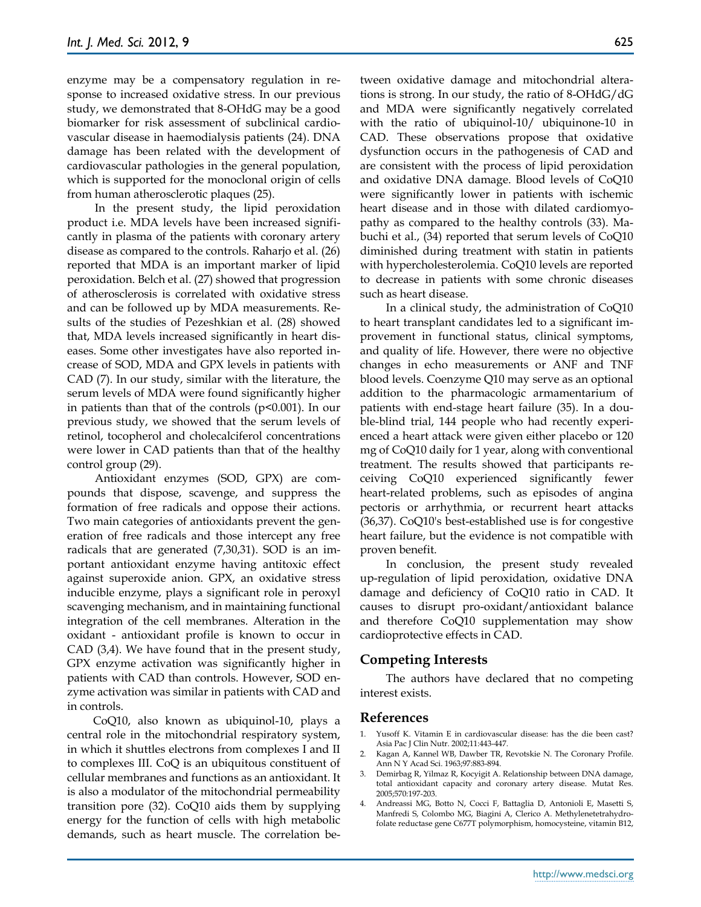enzyme may be a compensatory regulation in response to increased oxidative stress. In our previous study, we demonstrated that 8-OHdG may be a good biomarker for risk assessment of subclinical cardiovascular disease in haemodialysis patients (24). DNA damage has been related with the development of cardiovascular pathologies in the general population, which is supported for the monoclonal origin of cells from human atherosclerotic plaques (25).

In the present study, the lipid peroxidation product i.e. MDA levels have been increased significantly in plasma of the patients with coronary artery disease as compared to the controls. Raharjo et al. (26) reported that MDA is an important marker of lipid peroxidation. Belch et al. (27) showed that progression of atherosclerosis is correlated with oxidative stress and can be followed up by MDA measurements. Results of the studies of Pezeshkian et al. (28) showed that, MDA levels increased significantly in heart diseases. Some other investigates have also reported increase of SOD, MDA and GPX levels in patients with CAD (7). In our study, similar with the literature, the serum levels of MDA were found significantly higher in patients than that of the controls  $(p<0.001)$ . In our previous study, we showed that the serum levels of retinol, tocopherol and cholecalciferol concentrations were lower in CAD patients than that of the healthy control group (29).

Antioxidant enzymes (SOD, GPX) are compounds that dispose, scavenge, and suppress the formation of free radicals and oppose their actions. Two main categories of antioxidants prevent the generation of free radicals and those intercept any free radicals that are generated (7,30,31). SOD is an important antioxidant enzyme having antitoxic effect against superoxide anion. GPX, an oxidative stress inducible enzyme, plays a significant role in peroxyl scavenging mechanism, and in maintaining functional integration of the cell membranes. Alteration in the oxidant - antioxidant profile is known to occur in CAD (3,4). We have found that in the present study, GPX enzyme activation was significantly higher in patients with CAD than controls. However, SOD enzyme activation was similar in patients with CAD and in controls.

CoQ10, also known as ubiquinol-10, plays a central role in the mitochondrial respiratory system, in which it shuttles electrons from complexes I and II to complexes III. CoQ is an ubiquitous constituent of cellular membranes and functions as an antioxidant. It is also a modulator of the mitochondrial permeability transition pore (32). CoQ10 aids them by supplying energy for the function of cells with high metabolic demands, such as heart muscle. The correlation between oxidative damage and mitochondrial alterations is strong. In our study, the ratio of 8-OHdG/dG and MDA were significantly negatively correlated with the ratio of ubiquinol-10/ ubiquinone-10 in CAD. These observations propose that oxidative dysfunction occurs in the pathogenesis of CAD and are consistent with the process of lipid peroxidation and oxidative DNA damage. Blood levels of CoQ10 were significantly lower in patients with ischemic heart disease and in those with dilated cardiomyopathy as compared to the healthy controls (33). Mabuchi et al., (34) reported that serum levels of CoQ10 diminished during treatment with statin in patients with hypercholesterolemia. CoQ10 levels are reported to decrease in patients with some chronic diseases such as heart disease.

In a clinical study, the administration of CoQ10 to heart transplant candidates led to a significant improvement in functional status, clinical symptoms, and quality of life. However, there were no objective changes in echo measurements or ANF and TNF blood levels. Coenzyme Q10 may serve as an optional addition to the pharmacologic armamentarium of patients with end-stage heart failure (35). In a double-blind trial, 144 people who had recently experienced a heart attack were given either placebo or 120 mg of CoQ10 daily for 1 year, along with conventional treatment. The results showed that participants receiving CoQ10 experienced significantly fewer heart-related problems, such as episodes of angina pectoris or arrhythmia, or recurrent heart attacks (36,37). CoQ10's best-established use is for congestive heart failure, but the evidence is not compatible with proven benefit.

In conclusion, the present study revealed up-regulation of lipid peroxidation, oxidative DNA damage and deficiency of CoQ10 ratio in CAD. It causes to disrupt pro-oxidant/antioxidant balance and therefore CoQ10 supplementation may show cardioprotective effects in CAD.

#### **Competing Interests**

The authors have declared that no competing interest exists.

#### **References**

- 1. Yusoff K. Vitamin E in cardiovascular disease: has the die been cast? Asia Pac J Clin Nutr. 2002;11:443-447.
- 2. Kagan A, Kannel WB, Dawber TR, Revotskie N. The Coronary Profile. Ann N Y Acad Sci. 1963;97:883-894.
- 3. Demirbag R, Yilmaz R, Kocyigit A. Relationship between DNA damage, total antioxidant capacity and coronary artery disease. Mutat Res. 2005;570:197-203.
- 4. Andreassi MG, Botto N, Cocci F, Battaglia D, Antonioli E, Masetti S, Manfredi S, Colombo MG, Biagini A, Clerico A. Methylenetetrahydrofolate reductase gene C677T polymorphism, homocysteine, vitamin B12,